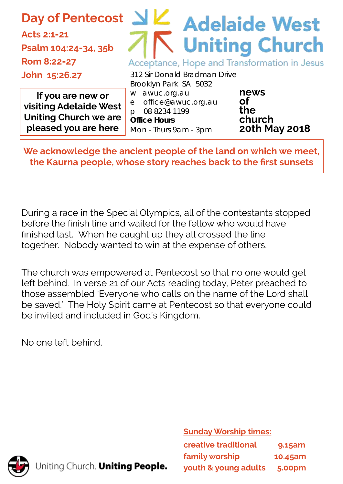**Day of Pentecost**

**Acts 2:1-21 Psalm 104:24-34, 35b Rom 8:22-27 John 15:26.27**

# $\leq$  Adelaide West **Uniting Church** Acceptance, Hope and Transformation in Jesus

**If you are new or visiting Adelaide West Uniting Church we are pleased you are here**

312 Sir Donald Bradman Drive Brooklyn Park SA 5032 w awuc.org.au e office@awuc.org.au p 08 8234 1199 **Office Hours**  Mon - Thurs 9am - 3pm

**news of the church 20th May 2018**

**We acknowledge the ancient people of the land on which we meet, the Kaurna people, whose story reaches back to the first sunsets**

During a race in the Special Olympics, all of the contestants stopped before the finish line and waited for the fellow who would have finished last. When he caught up they all crossed the line together. Nobody wanted to win at the expense of others.

The church was empowered at Pentecost so that no one would get left behind. In verse 21 of our Acts reading today, Peter preached to those assembled 'Everyone who calls on the name of the Lord shall be saved.' The Holy Spirit came at Pentecost so that everyone could be invited and included in God's Kingdom.

No one left behind.

**Sunday Worship times:** 

| creative traditional | 9.15am        |
|----------------------|---------------|
| family worship       | 10.45am       |
| youth & young adults | <b>5.00pm</b> |



Uniting Church. Uniting People.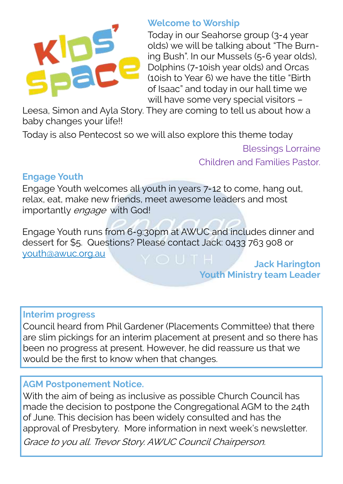

#### **Welcome to Worship**

Today in our Seahorse group (3-4 year olds) we will be talking about "The Burning Bush". In our Mussels (5-6 year olds), Dolphins (7-10ish year olds) and Orcas (10ish to Year 6) we have the title "Birth of Isaac" and today in our hall time we will have some very special visitors –

Leesa, Simon and Ayla Story. They are coming to tell us about how a baby changes your life!!

Today is also Pentecost so we will also explore this theme today

Blessings Lorraine Children and Families Pastor.

# **Engage Youth**

Engage Youth welcomes all youth in years 7-12 to come, hang out, relax, eat, make new friends, meet awesome leaders and most importantly engage with God!

Engage Youth runs from 6-9:30pm at AWUC and includes dinner and dessert for \$5. Questions? Please contact Jack: 0433 763 908 or [youth@awuc.org.au](mailto:youth@awuc.org.au)

**Jack Harington Youth Ministry team Leader**

# **Interim progress**

Council heard from Phil Gardener (Placements Committee) that there are slim pickings for an interim placement at present and so there has been no progress at present. However, he did reassure us that we would be the first to know when that changes.

# **AGM Postponement Notice.**

With the aim of being as inclusive as possible Church Council has made the decision to postpone the Congregational AGM to the 24th of June. This decision has been widely consulted and has the approval of Presbytery. More information in next week's newsletter.

Grace to you all. Trevor Story. AWUC Council Chairperson.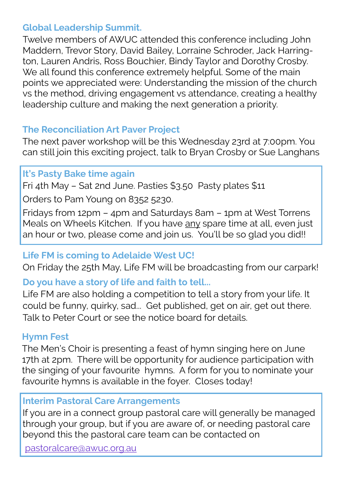# **Global Leadership Summit.**

Twelve members of AWUC attended this conference including John Maddern, Trevor Story, David Bailey, Lorraine Schroder, Jack Harrington, Lauren Andris, Ross Bouchier, Bindy Taylor and Dorothy Crosby. We all found this conference extremely helpful. Some of the main points we appreciated were: Understanding the mission of the church vs the method, driving engagement vs attendance, creating a healthy leadership culture and making the next generation a priority.

# **The Reconciliation Art Paver Project**

The next paver workshop will be this Wednesday 23rd at 7:00pm. You can still join this exciting project, talk to Bryan Crosby or Sue Langhans

# **It's Pasty Bake time again**

Fri 4th May – Sat 2nd June. Pasties \$3.50 Pasty plates \$11

Orders to Pam Young on 8352 5230.

Fridays from 12pm – 4pm and Saturdays 8am – 1pm at West Torrens Meals on Wheels Kitchen. If you have any spare time at all, even just an hour or two, please come and join us. You'll be so glad you did!!

# **Life FM is coming to Adelaide West UC!**

On Friday the 25th May, Life FM will be broadcasting from our carpark!

# **Do you have a story of life and faith to tell...**

Life FM are also holding a competition to tell a story from your life. It could be funny, quirky, sad... Get published, get on air, get out there. Talk to Peter Court or see the notice board for details.

# **Hymn Fest**

The Men's Choir is presenting a feast of hymn singing here on June 17th at 2pm. There will be opportunity for audience participation with the singing of your favourite hymns. A form for you to nominate your favourite hymns is available in the foyer. Closes today!

# **Interim Pastoral Care Arrangements**

If you are in a connect group pastoral care will generally be managed through your group, but if you are aware of, or needing pastoral care beyond this the pastoral care team can be contacted on

[pastoralcare@awuc.org.au](mailto:pastoralcare@awuc.org.au)